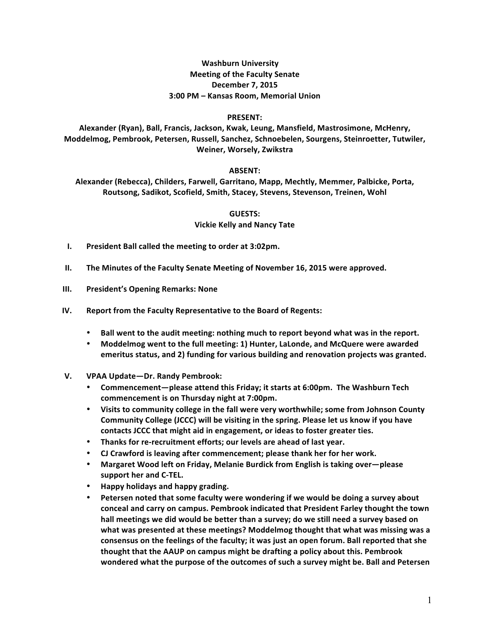# **Washburn University Meeting of the Faculty Senate December 7, 2015 3:00 PM – Kansas Room, Memorial Union**

### **PRESENT:**

Alexander (Ryan), Ball, Francis, Jackson, Kwak, Leung, Mansfield, Mastrosimone, McHenry, Moddelmog, Pembrook, Petersen, Russell, Sanchez, Schnoebelen, Sourgens, Steinroetter, Tutwiler, Weiner, Worsely, Zwikstra

## **ABSENT:**

Alexander (Rebecca), Childers, Farwell, Garritano, Mapp, Mechtly, Memmer, Palbicke, Porta, Routsong, Sadikot, Scofield, Smith, Stacey, Stevens, Stevenson, Treinen, Wohl

> **GUESTS: Vickie Kelly and Nancy Tate**

- **I. President Ball called the meeting to order at 3:02pm.**
- **II.** The Minutes of the Faculty Senate Meeting of November 16, 2015 were approved.
- **III. President's Opening Remarks: None**
- **IV.** Report from the Faculty Representative to the Board of Regents:
	- Ball went to the audit meeting: nothing much to report beyond what was in the report.
	- Moddelmog went to the full meeting: 1) Hunter, LaLonde, and McQuere were awarded emeritus status, and 2) funding for various building and renovation projects was granted.
- **V. VPAA Update—Dr. Randy Pembrook:**
	- Commencement-please attend this Friday; it starts at 6:00pm. The Washburn Tech **commencement** is on Thursday night at 7:00pm.
	- Visits to community college in the fall were very worthwhile; some from Johnson County **Community College (JCCC) will be visiting in the spring. Please let us know if you have** contacts JCCC that might aid in engagement, or ideas to foster greater ties.
	- Thanks for re-recruitment efforts; our levels are ahead of last year.
	- CJ Crawford is leaving after commencement; please thank her for her work.
	- **Margaret Wood left on Friday, Melanie Burdick from English is taking over—please** support her and C-TEL.
	- **Happy holidays and happy grading.**
	- Petersen noted that some faculty were wondering if we would be doing a survey about conceal and carry on campus. Pembrook indicated that President Farley thought the town hall meetings we did would be better than a survey; do we still need a survey based on what was presented at these meetings? Moddelmog thought that what was missing was a consensus on the feelings of the faculty; it was just an open forum. Ball reported that she **thought** that the AAUP on campus might be drafting a policy about this. Pembrook **wondered what the purpose of the outcomes of such a survey might be. Ball and Petersen**